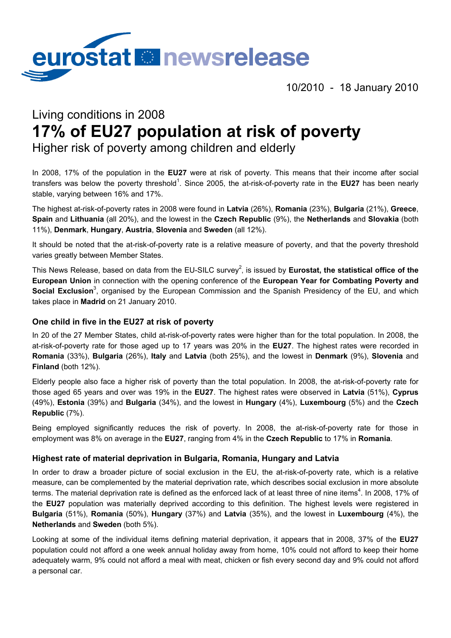

10/2010 - 18 January 2010

# Living conditions in 2008 **17% of EU27 population at risk of poverty**

Higher risk of poverty among children and elderly

In 2008, 17% of the population in the **EU27** were at risk of poverty. This means that their income after social transfers was below the poverty threshold<sup>1</sup>. Since 2005, the at-risk-of-poverty rate in the **EU27** has been nearly stable, varying between 16% and 17%.

The highest at-risk-of-poverty rates in 2008 were found in **Latvia** (26%), **Romania** (23%), **Bulgaria** (21%), **Greece**, **Spain** and **Lithuania** (all 20%), and the lowest in the **Czech Republic** (9%), the **Netherlands** and **Slovakia** (both 11%), **Denmark**, **Hungary**, **Austria**, **Slovenia** and **Sweden** (all 12%).

It should be noted that the at-risk-of-poverty rate is a relative measure of poverty, and that the poverty threshold varies greatly between Member States.

This News Release, based on data from the EU-SILC survey<sup>2</sup>, is issued by **Eurostat, the statistical office of the European Union** in connection with the opening conference of the **European Year for Combating Poverty and**  Social Exclusion<sup>3</sup>, organised by the European Commission and the Spanish Presidency of the EU, and which takes place in **Madrid** on 21 January 2010.

## **One child in five in the EU27 at risk of poverty**

In 20 of the 27 Member States, child at-risk-of-poverty rates were higher than for the total population. In 2008, the at-risk-of-poverty rate for those aged up to 17 years was 20% in the **EU27**. The highest rates were recorded in **Romania** (33%), **Bulgaria** (26%), **Italy** and **Latvia** (both 25%), and the lowest in **Denmark** (9%), **Slovenia** and **Finland** (both 12%).

Elderly people also face a higher risk of poverty than the total population. In 2008, the at-risk-of-poverty rate for those aged 65 years and over was 19% in the **EU27**. The highest rates were observed in **Latvia** (51%), **Cyprus** (49%), **Estonia** (39%) and **Bulgaria** (34%), and the lowest in **Hungary** (4%), **Luxembourg** (5%) and the **Czech Republic** (7%).

Being employed significantly reduces the risk of poverty. In 2008, the at-risk-of-poverty rate for those in employment was 8% on average in the **EU27**, ranging from 4% in the **Czech Republic** to 17% in **Romania**.

#### **Highest rate of material deprivation in Bulgaria, Romania, Hungary and Latvia**

In order to draw a broader picture of social exclusion in the EU, the at-risk-of-poverty rate, which is a relative measure, can be complemented by the material deprivation rate, which describes social exclusion in more absolute terms. The material deprivation rate is defined as the enforced lack of at least three of nine items<sup>4</sup>. In 2008, 17% of the **EU27** population was materially deprived according to this definition. The highest levels were registered in **Bulgaria** (51%), **Romania** (50%), **Hungary** (37%) and **Latvia** (35%), and the lowest in **Luxembourg** (4%), the **Netherlands** and **Sweden** (both 5%).

Looking at some of the individual items defining material deprivation, it appears that in 2008, 37% of the **EU27** population could not afford a one week annual holiday away from home, 10% could not afford to keep their home adequately warm, 9% could not afford a meal with meat, chicken or fish every second day and 9% could not afford a personal car.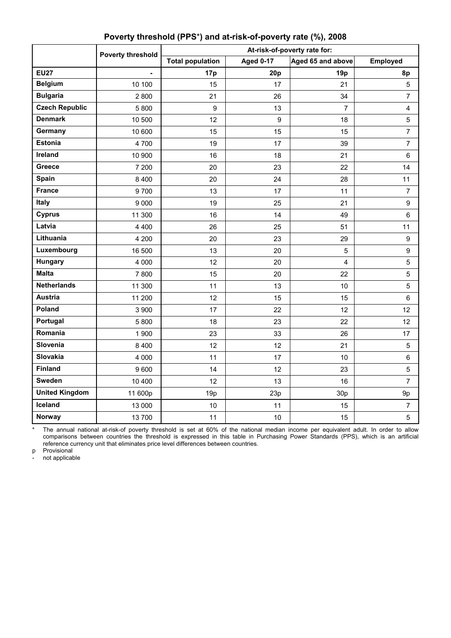|                       | Poverty threshold | At-risk-of-poverty rate for: |                  |                         |                  |  |
|-----------------------|-------------------|------------------------------|------------------|-------------------------|------------------|--|
|                       |                   | <b>Total population</b>      | <b>Aged 0-17</b> | Aged 65 and above       | <b>Employed</b>  |  |
| <b>EU27</b>           |                   | 17p                          | 20p              | 19p                     | 8p               |  |
| <b>Belgium</b>        | 10 100            | 15                           | 17               | 21                      | 5                |  |
| <b>Bulgaria</b>       | 2800              | 21                           | 26               | 34                      | $\overline{7}$   |  |
| <b>Czech Republic</b> | 5800              | 9                            | 13               | $\overline{7}$          | 4                |  |
| <b>Denmark</b>        | 10 500            | 12                           | 9                | 18                      | $\overline{5}$   |  |
| Germany               | 10 600            | 15                           | 15               | 15                      | $\overline{7}$   |  |
| <b>Estonia</b>        | 4700              | 19                           | 17               | 39                      | $\overline{7}$   |  |
| Ireland               | 10 900            | 16                           | 18               | 21                      | $\,6\,$          |  |
| Greece                | 7 200             | 20                           | 23               | 22                      | 14               |  |
| Spain                 | 8 4 0 0           | 20                           | 24               | 28                      | 11               |  |
| <b>France</b>         | 9700              | 13                           | 17               | 11                      | $\overline{7}$   |  |
| Italy                 | 9 0 0 0           | 19                           | 25               | 21                      | $\boldsymbol{9}$ |  |
| <b>Cyprus</b>         | 11 300            | 16                           | 14               | 49                      | $\,6\,$          |  |
| Latvia                | 4 4 0 0           | 26                           | 25               | 51                      | 11               |  |
| Lithuania             | 4 200             | 20                           | 23               | 29                      | $\boldsymbol{9}$ |  |
| Luxembourg            | 16 500            | 13                           | 20               | 5                       | $\boldsymbol{9}$ |  |
| Hungary               | 4 0 0 0           | 12                           | 20               | $\overline{\mathbf{4}}$ | 5                |  |
| <b>Malta</b>          | 7800              | 15                           | 20               | 22                      | $\sqrt{5}$       |  |
| <b>Netherlands</b>    | 11 300            | 11                           | 13               | 10                      | 5                |  |
| <b>Austria</b>        | 11 200            | 12                           | 15               | 15                      | 6                |  |
| Poland                | 3 900             | 17                           | 22               | 12                      | 12               |  |
| Portugal              | 5800              | 18                           | 23               | 22                      | 12               |  |
| Romania               | 1 900             | 23                           | 33               | 26                      | 17               |  |
| Slovenia              | 8 4 0 0           | 12                           | 12               | 21                      | $\overline{5}$   |  |
| <b>Slovakia</b>       | 4 0 0 0           | 11                           | 17               | 10                      | $\,6\,$          |  |
| <b>Finland</b>        | 9600              | 14                           | 12               | 23                      | $\sqrt{5}$       |  |
| Sweden                | 10 400            | 12                           | 13               | 16                      | $\overline{7}$   |  |
| <b>United Kingdom</b> | 11 600p           | 19p                          | 23p              | 30p                     | 9p               |  |
| Iceland               | 13 000            | 10                           | 11               | 15                      | $\overline{7}$   |  |
| <b>Norway</b>         | 13700             | 11                           | 10               | 15                      | 5                |  |

## **Poverty threshold (PPS**\***) and at-risk-of-poverty rate (%), 2008**

\* The annual national at-risk-of poverty threshold is set at 60% of the national median income per equivalent adult. In order to allow comparisons between countries the threshold is expressed in this table in Purchasing Power Standards (PPS), which is an artificial reference currency unit that eliminates price level differences between countries.

p Provisional

not applicable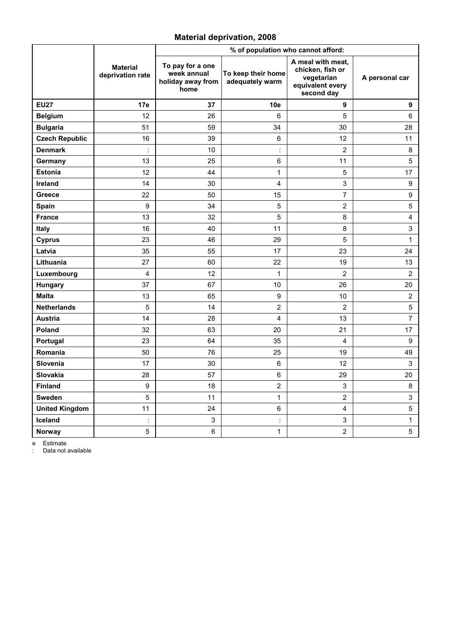### **Material deprivation, 2008**

|                       |                                     | % of population who cannot afford:                           |                                       |                                                                                       |                  |  |
|-----------------------|-------------------------------------|--------------------------------------------------------------|---------------------------------------|---------------------------------------------------------------------------------------|------------------|--|
|                       | <b>Material</b><br>deprivation rate | To pay for a one<br>week annual<br>holiday away from<br>home | To keep their home<br>adequately warm | A meal with meat,<br>chicken, fish or<br>vegetarian<br>equivalent every<br>second day | A personal car   |  |
| <b>EU27</b>           | 17e                                 | 37                                                           | 10e                                   | 9                                                                                     | 9                |  |
| <b>Belgium</b>        | 12                                  | 26                                                           | 6                                     | 5                                                                                     | 6                |  |
| <b>Bulgaria</b>       | 51                                  | 59                                                           | 34                                    | 30                                                                                    | 28               |  |
| <b>Czech Republic</b> | 16                                  | 39                                                           | 6                                     | 12                                                                                    | 11               |  |
| <b>Denmark</b>        |                                     | 10                                                           | $\ddot{\phantom{a}}$                  | $\overline{2}$                                                                        | $\bf 8$          |  |
| Germany               | 13                                  | 25                                                           | 6                                     | 11                                                                                    | 5                |  |
| <b>Estonia</b>        | 12                                  | 44                                                           | 1                                     | 5                                                                                     | 17               |  |
| Ireland               | 14                                  | 30                                                           | 4                                     | 3                                                                                     | $\boldsymbol{9}$ |  |
| Greece                | 22                                  | 50                                                           | 15                                    | 7                                                                                     | 9                |  |
| <b>Spain</b>          | 9                                   | 34                                                           | 5                                     | $\overline{2}$                                                                        | $\sqrt{5}$       |  |
| <b>France</b>         | 13                                  | 32                                                           | 5                                     | 8                                                                                     | 4                |  |
| Italy                 | 16                                  | 40                                                           | 11                                    | 8                                                                                     | 3                |  |
| <b>Cyprus</b>         | 23                                  | 46                                                           | 29                                    | 5                                                                                     | 1                |  |
| Latvia                | 35                                  | 55                                                           | 17                                    | 23                                                                                    | 24               |  |
| Lithuania             | 27                                  | 60                                                           | 22                                    | 19                                                                                    | 13               |  |
| Luxembourg            | 4                                   | 12                                                           | $\mathbf{1}$                          | $\overline{2}$                                                                        | $\overline{2}$   |  |
| Hungary               | 37                                  | 67                                                           | 10                                    | 26                                                                                    | 20               |  |
| <b>Malta</b>          | 13                                  | 65                                                           | 9                                     | 10                                                                                    | $\overline{2}$   |  |
| <b>Netherlands</b>    | 5                                   | 14                                                           | $\overline{2}$                        | $\overline{2}$                                                                        | $\sqrt{5}$       |  |
| <b>Austria</b>        | 14                                  | 28                                                           | 4                                     | 13                                                                                    | $\overline{7}$   |  |
| <b>Poland</b>         | 32                                  | 63                                                           | 20                                    | 21                                                                                    | 17               |  |
| Portugal              | 23                                  | 64                                                           | 35                                    | $\overline{4}$                                                                        | 9                |  |
| Romania               | 50                                  | 76                                                           | 25                                    | 19                                                                                    | 49               |  |
| Slovenia              | 17                                  | 30                                                           | 6                                     | 12                                                                                    | $\mathsf 3$      |  |
| <b>Slovakia</b>       | 28                                  | 57                                                           | 6                                     | 29                                                                                    | 20               |  |
| <b>Finland</b>        | $\boldsymbol{9}$                    | 18                                                           | $\overline{2}$                        | 3                                                                                     | 8                |  |
| <b>Sweden</b>         | 5                                   | 11                                                           | 1                                     | $\overline{2}$                                                                        | 3                |  |
| <b>United Kingdom</b> | 11                                  | 24                                                           | 6                                     | 4                                                                                     | $\overline{5}$   |  |
| Iceland               | $\ddot{\cdot}$                      | $\ensuremath{\mathsf{3}}$                                    | $\ddot{\cdot}$                        | 3                                                                                     | 1                |  |
| Norway                | 5                                   | $\,6\,$                                                      | $\mathbf 1$                           | $\overline{2}$                                                                        | $\overline{5}$   |  |

e Estimate

: Data not available